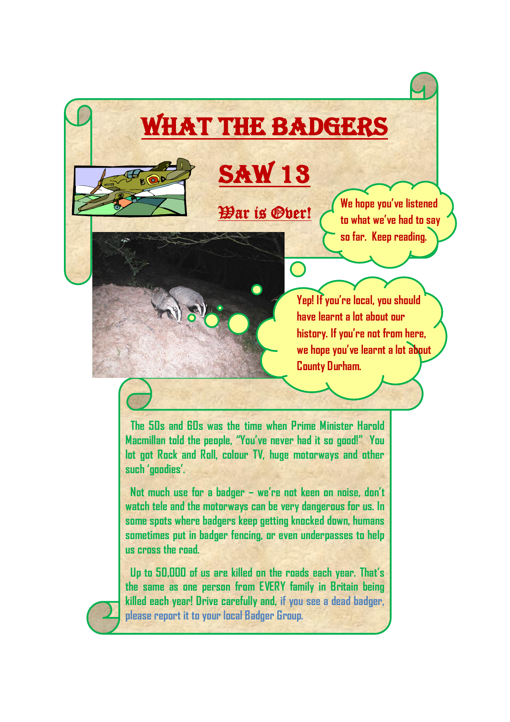## What the Badgers



War is Over!

**We hope you've listened to what we've had to say so far. Keep reading.**

**Yep! If you're local, you should have learnt a lot about our history. If you're not from here, we hope you've learnt a lot about County Durham.**

 **The 50s and 60s was the time when Prime Minister Harold Macmillan told the people, "You've never had it so good!" You lot got Rock and Roll, colour TV, huge motorways and other such 'goodies'.** 

 **Not much use for a badger – we're not keen on noise, don't watch tele and the motorways can be very dangerous for us. In some spots where badgers keep getting knocked down, humans sometimes put in badger fencing, or even underpasses to help us cross the road.**

 **Up to 50,000 of us are killed on the roads each year. That's the same as one person from EVERY family in Britain being killed each year! Drive carefully and, if you see a dead badger, please report it to your local Badger Group.**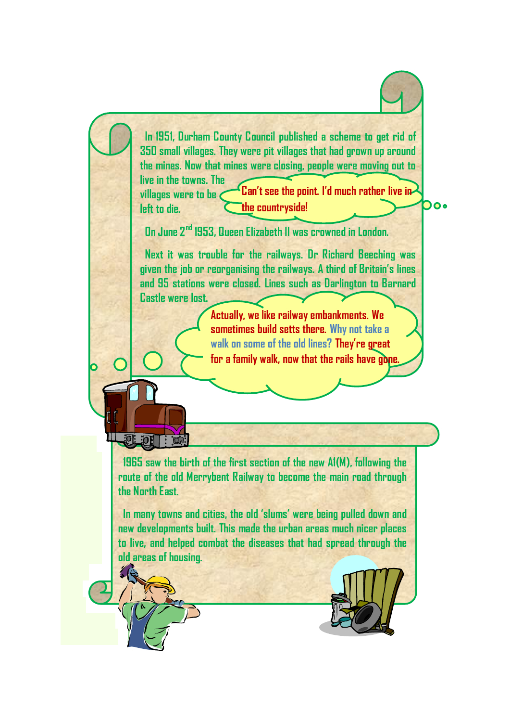